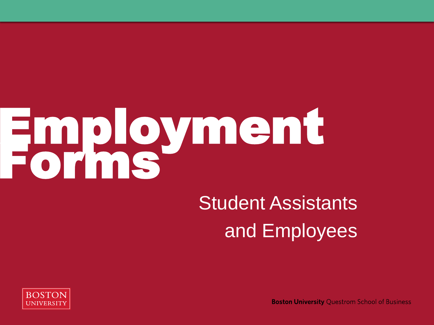# Employment Forms

## Student Assistants and Employees



**Boston University Questrom School of Business**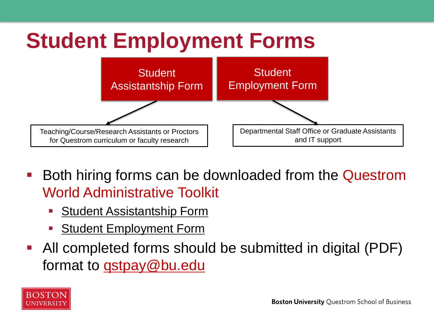

- Both hiring forms can be downloaded from the Questrom World Administrative Toolkit
	- **[Student Assistantship Form](http://smgpublish.bu.edu/toolkit/Forms_for_Admin_Tool_Kit_Payroll/Student_Assistantship_Form_AY2022.pdf)**
	- **Student Employment Form**
- All completed forms should be submitted in digital (PDF) format to **gstpay@bu.edu**

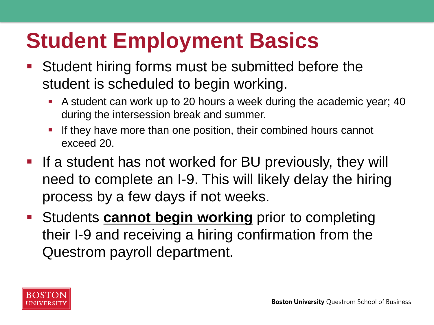## **Student Employment Basics**

- Student hiring forms must be submitted before the student is scheduled to begin working.
	- A student can work up to 20 hours a week during the academic year; 40 during the intersession break and summer.
	- **.** If they have more than one position, their combined hours cannot exceed 20.
- If a student has not worked for BU previously, they will need to complete an I-9. This will likely delay the hiring process by a few days if not weeks.
- **EXTERN Students cannot begin working** prior to completing their I-9 and receiving a hiring confirmation from the Questrom payroll department.

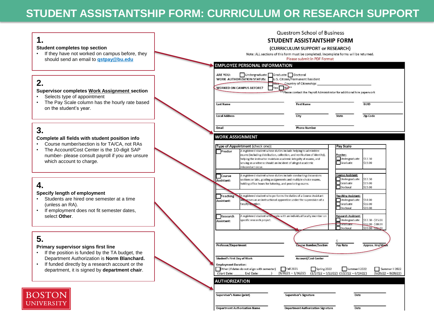#### **STUDENT ASSISTANTSHIP FORM: CURRICULUM OR RESEARCH SUPPORT**